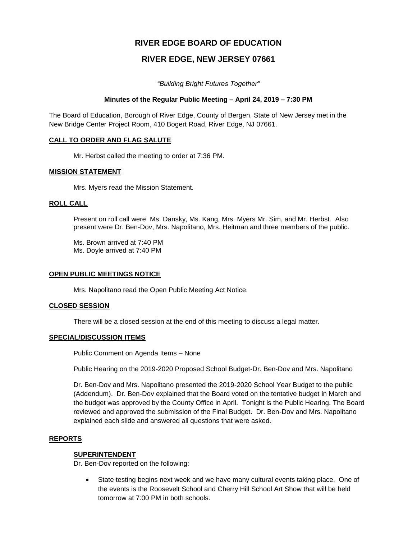# **RIVER EDGE BOARD OF EDUCATION**

# **RIVER EDGE, NEW JERSEY 07661**

*"Building Bright Futures Together"*

## **Minutes of the Regular Public Meeting – April 24, 2019 – 7:30 PM**

The Board of Education, Borough of River Edge, County of Bergen, State of New Jersey met in the New Bridge Center Project Room, 410 Bogert Road, River Edge, NJ 07661.

## **CALL TO ORDER AND FLAG SALUTE**

Mr. Herbst called the meeting to order at 7:36 PM.

## **MISSION STATEMENT**

Mrs. Myers read the Mission Statement.

## **ROLL CALL**

Present on roll call were Ms. Dansky, Ms. Kang, Mrs. Myers Mr. Sim, and Mr. Herbst. Also present were Dr. Ben-Dov, Mrs. Napolitano, Mrs. Heitman and three members of the public.

Ms. Brown arrived at 7:40 PM Ms. Doyle arrived at 7:40 PM

#### **OPEN PUBLIC MEETINGS NOTICE**

Mrs. Napolitano read the Open Public Meeting Act Notice.

#### **CLOSED SESSION**

There will be a closed session at the end of this meeting to discuss a legal matter.

#### **SPECIAL/DISCUSSION ITEMS**

Public Comment on Agenda Items – None

Public Hearing on the 2019-2020 Proposed School Budget-Dr. Ben-Dov and Mrs. Napolitano

Dr. Ben-Dov and Mrs. Napolitano presented the 2019-2020 School Year Budget to the public (Addendum). Dr. Ben-Dov explained that the Board voted on the tentative budget in March and the budget was approved by the County Office in April. Tonight is the Public Hearing. The Board reviewed and approved the submission of the Final Budget. Dr. Ben-Dov and Mrs. Napolitano explained each slide and answered all questions that were asked.

#### **REPORTS**

#### **SUPERINTENDENT**

Dr. Ben-Dov reported on the following:

 State testing begins next week and we have many cultural events taking place. One of the events is the Roosevelt School and Cherry Hill School Art Show that will be held tomorrow at 7:00 PM in both schools.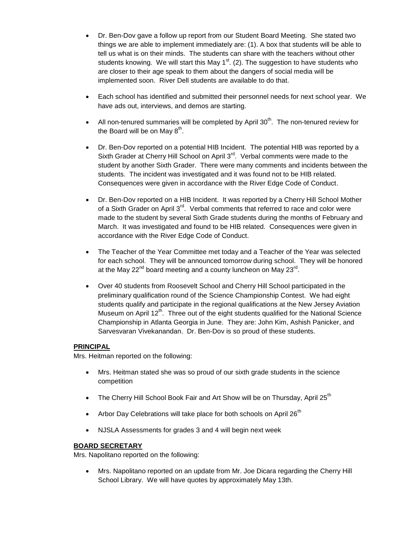- Dr. Ben-Dov gave a follow up report from our Student Board Meeting. She stated two things we are able to implement immediately are: (1). A box that students will be able to tell us what is on their minds. The students can share with the teachers without other students knowing. We will start this May 1<sup>st</sup>. (2). The suggestion to have students who are closer to their age speak to them about the dangers of social media will be implemented soon. River Dell students are available to do that.
- Each school has identified and submitted their personnel needs for next school year. We have ads out, interviews, and demos are starting.
- All non-tenured summaries will be completed by April  $30<sup>th</sup>$ . The non-tenured review for the Board will be on May  $8^{\text{th}}$ .
- Dr. Ben-Dov reported on a potential HIB Incident. The potential HIB was reported by a Sixth Grader at Cherry Hill School on April 3<sup>rd</sup>. Verbal comments were made to the student by another Sixth Grader. There were many comments and incidents between the students. The incident was investigated and it was found not to be HIB related. Consequences were given in accordance with the River Edge Code of Conduct.
- Dr. Ben-Dov reported on a HIB Incident. It was reported by a Cherry Hill School Mother of a Sixth Grader on April 3<sup>rd</sup>. Verbal comments that referred to race and color were made to the student by several Sixth Grade students during the months of February and March. It was investigated and found to be HIB related. Consequences were given in accordance with the River Edge Code of Conduct.
- The Teacher of the Year Committee met today and a Teacher of the Year was selected for each school. They will be announced tomorrow during school. They will be honored at the May 22<sup>nd</sup> board meeting and a county luncheon on May 23<sup>rd</sup>.
- Over 40 students from Roosevelt School and Cherry Hill School participated in the preliminary qualification round of the Science Championship Contest. We had eight students qualify and participate in the regional qualifications at the New Jersey Aviation Museum on April  $12<sup>th</sup>$ . Three out of the eight students qualified for the National Science Championship in Atlanta Georgia in June. They are: John Kim, Ashish Panicker, and Sarvesvaran Vivekanandan. Dr. Ben-Dov is so proud of these students.

# **PRINCIPAL**

Mrs. Heitman reported on the following:

- Mrs. Heitman stated she was so proud of our sixth grade students in the science competition
- The Cherry Hill School Book Fair and Art Show will be on Thursday, April 25<sup>th</sup>
- Arbor Day Celebrations will take place for both schools on April  $26<sup>th</sup>$
- NJSLA Assessments for grades 3 and 4 will begin next week

# **BOARD SECRETARY**

Mrs. Napolitano reported on the following:

 Mrs. Napolitano reported on an update from Mr. Joe Dicara regarding the Cherry Hill School Library. We will have quotes by approximately May 13th.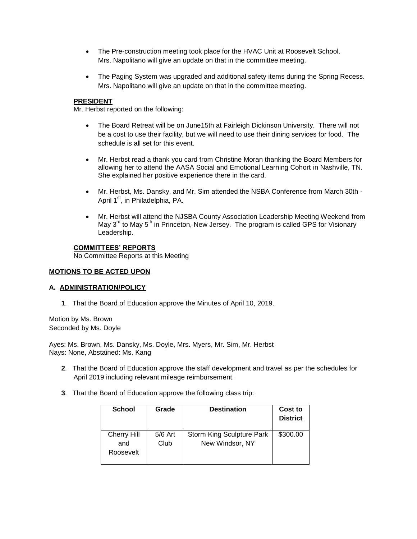- The Pre-construction meeting took place for the HVAC Unit at Roosevelt School. Mrs. Napolitano will give an update on that in the committee meeting.
- The Paging System was upgraded and additional safety items during the Spring Recess. Mrs. Napolitano will give an update on that in the committee meeting.

## **PRESIDENT**

Mr. Herbst reported on the following:

- The Board Retreat will be on June15th at Fairleigh Dickinson University. There will not be a cost to use their facility, but we will need to use their dining services for food. The schedule is all set for this event.
- Mr. Herbst read a thank you card from Christine Moran thanking the Board Members for allowing her to attend the AASA Social and Emotional Learning Cohort in Nashville, TN. She explained her positive experience there in the card.
- Mr. Herbst, Ms. Dansky, and Mr. Sim attended the NSBA Conference from March 30th April 1<sup>st</sup>, in Philadelphia, PA.
- Mr. Herbst will attend the NJSBA County Association Leadership Meeting Weekend from May  $3<sup>rd</sup>$  to May  $5<sup>th</sup>$  in Princeton, New Jersey. The program is called GPS for Visionary Leadership.

## **COMMITTEES' REPORTS**

No Committee Reports at this Meeting

# **MOTIONS TO BE ACTED UPON**

## **A. ADMINISTRATION/POLICY**

**1**. That the Board of Education approve the Minutes of April 10, 2019.

Motion by Ms. Brown Seconded by Ms. Doyle

Ayes: Ms. Brown, Ms. Dansky, Ms. Doyle, Mrs. Myers, Mr. Sim, Mr. Herbst Nays: None, Abstained: Ms. Kang

- **2**. That the Board of Education approve the staff development and travel as per the schedules for April 2019 including relevant mileage reimbursement.
- **3**. That the Board of Education approve the following class trip:

| <b>School</b>             | Grade             | <b>Destination</b>                                  | Cost to<br><b>District</b> |
|---------------------------|-------------------|-----------------------------------------------------|----------------------------|
| <b>Cherry Hill</b><br>and | $5/6$ Art<br>Club | <b>Storm King Sculpture Park</b><br>New Windsor, NY | \$300.00                   |
| Roosevelt                 |                   |                                                     |                            |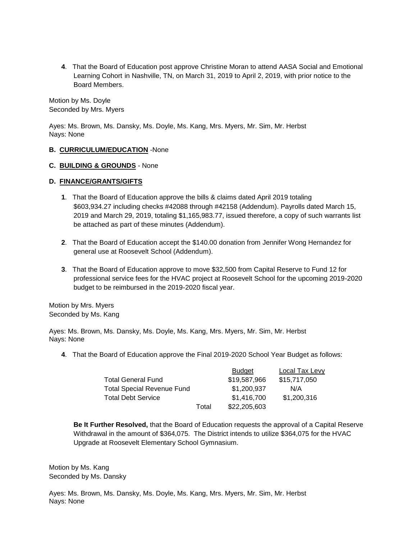**4**. That the Board of Education post approve Christine Moran to attend AASA Social and Emotional Learning Cohort in Nashville, TN, on March 31, 2019 to April 2, 2019, with prior notice to the Board Members.

Motion by Ms. Doyle Seconded by Mrs. Myers

Ayes: Ms. Brown, Ms. Dansky, Ms. Doyle, Ms. Kang, Mrs. Myers, Mr. Sim, Mr. Herbst Nays: None

# **B. CURRICULUM/EDUCATION** -None

#### **C. BUILDING & GROUNDS** - None

#### **D. FINANCE/GRANTS/GIFTS**

- **1**. That the Board of Education approve the bills & claims dated April 2019 totaling \$603,934.27 including checks #42088 through #42158 (Addendum). Payrolls dated March 15, 2019 and March 29, 2019, totaling \$1,165,983.77, issued therefore, a copy of such warrants list be attached as part of these minutes (Addendum).
- **2**. That the Board of Education accept the \$140.00 donation from Jennifer Wong Hernandez for general use at Roosevelt School (Addendum).
- **3**. That the Board of Education approve to move \$32,500 from Capital Reserve to Fund 12 for professional service fees for the HVAC project at Roosevelt School for the upcoming 2019-2020 budget to be reimbursed in the 2019-2020 fiscal year.

Motion by Mrs. Myers Seconded by Ms. Kang

Ayes: Ms. Brown, Ms. Dansky, Ms. Doyle, Ms. Kang, Mrs. Myers, Mr. Sim, Mr. Herbst Nays: None

**4**. That the Board of Education approve the Final 2019-2020 School Year Budget as follows:

|                                   |       | <b>Budget</b> | Local Tax Levy |
|-----------------------------------|-------|---------------|----------------|
| <b>Total General Fund</b>         |       | \$19,587,966  | \$15,717,050   |
| <b>Total Special Revenue Fund</b> |       | \$1,200,937   | N/A            |
| <b>Total Debt Service</b>         |       | \$1,416,700   | \$1,200,316    |
|                                   | Total | \$22,205,603  |                |

**Be It Further Resolved,** that the Board of Education requests the approval of a Capital Reserve Withdrawal in the amount of \$364,075. The District intends to utilize \$364,075 for the HVAC Upgrade at Roosevelt Elementary School Gymnasium.

Motion by Ms. Kang Seconded by Ms. Dansky

Ayes: Ms. Brown, Ms. Dansky, Ms. Doyle, Ms. Kang, Mrs. Myers, Mr. Sim, Mr. Herbst Nays: None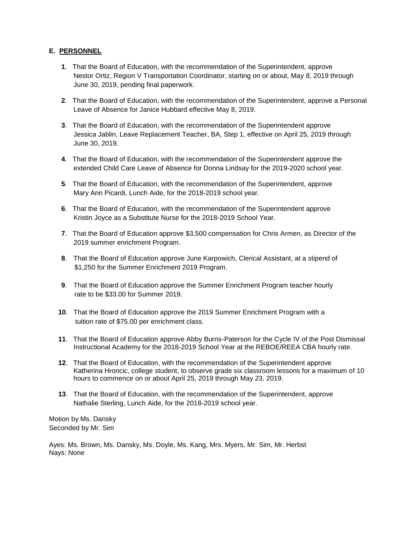# **E. PERSONNEL**

- **1**. That the Board of Education, with the recommendation of the Superintendent, approve Nestor Ortiz, Region V Transportation Coordinator, starting on or about, May 8, 2019 through June 30, 2019, pending final paperwork.
- **2**. That the Board of Education, with the recommendation of the Superintendent, approve a Personal Leave of Absence for Janice Hubbard effective May 8, 2019.
- **3**. That the Board of Education, with the recommendation of the Superintendent approve Jessica Jablin, Leave Replacement Teacher, BA, Step 1, effective on April 25, 2019 through June 30, 2019.
- **4**. That the Board of Education, with the recommendation of the Superintendent approve the extended Child Care Leave of Absence for Donna Lindsay for the 2019-2020 school year.
- **5**. That the Board of Education, with the recommendation of the Superintendent, approve Mary Ann Picardi, Lunch Aide, for the 2018-2019 school year.
- **6**. That the Board of Education, with the recommendation of the Superintendent approve Kristin Joyce as a Substitute Nurse for the 2018-2019 School Year.
- **7**. That the Board of Education approve \$3,500 compensation for Chris Armen, as Director of the 2019 summer enrichment Program.
- **8**. That the Board of Education approve June Karpowich, Clerical Assistant, at a stipend of \$1,250 for the Summer Enrichment 2019 Program.
- **9**. That the Board of Education approve the Summer Enrichment Program teacher hourly rate to be \$33.00 for Summer 2019.
- **10**. That the Board of Education approve the 2019 Summer Enrichment Program with a tuition rate of \$75.00 per enrichment class.
- **11**. That the Board of Education approve Abby Burns-Paterson for the Cycle IV of the Post Dismissal Instructional Academy for the 2018-2019 School Year at the REBOE/REEA CBA hourly rate.
- **12**. That the Board of Education, with the recommendation of the Superintendent approve Katherina Hroncic, college student, to observe grade six classroom lessons for a maximum of 10 hours to commence on or about April 25, 2019 through May 23, 2019.
- **13**. That the Board of Education, with the recommendation of the Superintendent, approve Nathalie Sterling, Lunch Aide, for the 2018-2019 school year.

Motion by Ms. Dansky Seconded by Mr. Sim

Ayes: Ms. Brown, Ms. Dansky, Ms. Doyle, Ms. Kang, Mrs. Myers, Mr. Sim, Mr. Herbst Nays: None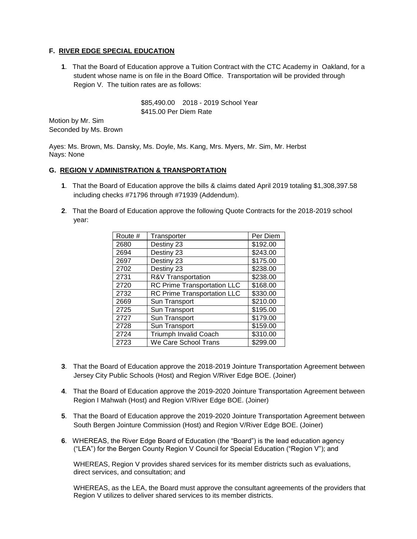# **F. RIVER EDGE SPECIAL EDUCATION**

**1**. That the Board of Education approve a Tuition Contract with the CTC Academy in Oakland, for a student whose name is on file in the Board Office. Transportation will be provided through Region V. The tuition rates are as follows:

> \$85,490.00 2018 - 2019 School Year \$415.00 Per Diem Rate

Motion by Mr. Sim Seconded by Ms. Brown

Ayes: Ms. Brown, Ms. Dansky, Ms. Doyle, Ms. Kang, Mrs. Myers, Mr. Sim, Mr. Herbst Nays: None

# **G. REGION V ADMINISTRATION & TRANSPORTATION**

- **1**. That the Board of Education approve the bills & claims dated April 2019 totaling \$1,308,397.58 including checks #71796 through #71939 (Addendum).
- **2**. That the Board of Education approve the following Quote Contracts for the 2018-2019 school year:

| Route # | Transporter                        | Per Diem |
|---------|------------------------------------|----------|
| 2680    | Destiny 23                         | \$192.00 |
| 2694    | Destiny 23                         | \$243.00 |
| 2697    | Destiny 23                         | \$175.00 |
| 2702    | Destiny 23                         | \$238.00 |
| 2731    | R&V Transportation                 | \$238.00 |
| 2720    | RC Prime Transportation LLC        | \$168.00 |
| 2732    | <b>RC Prime Transportation LLC</b> | \$330.00 |
| 2669    | Sun Transport                      | \$210.00 |
| 2725    | Sun Transport                      | \$195.00 |
| 2727    | Sun Transport                      | \$179.00 |
| 2728    | Sun Transport                      | \$159.00 |
| 2724    | <b>Triumph Invalid Coach</b>       | \$310.00 |
| 2723    | We Care School Trans               | \$299.00 |

- **3**. That the Board of Education approve the 2018-2019 Jointure Transportation Agreement between Jersey City Public Schools (Host) and Region V/River Edge BOE. (Joiner)
- **4**. That the Board of Education approve the 2019-2020 Jointure Transportation Agreement between Region I Mahwah (Host) and Region V/River Edge BOE. (Joiner)
- **5**. That the Board of Education approve the 2019-2020 Jointure Transportation Agreement between South Bergen Jointure Commission (Host) and Region V/River Edge BOE. (Joiner)
- **6**. WHEREAS, the River Edge Board of Education (the "Board") is the lead education agency ("LEA") for the Bergen County Region V Council for Special Education ("Region V"); and

WHEREAS, Region V provides shared services for its member districts such as evaluations, direct services, and consultation; and

WHEREAS, as the LEA, the Board must approve the consultant agreements of the providers that Region V utilizes to deliver shared services to its member districts.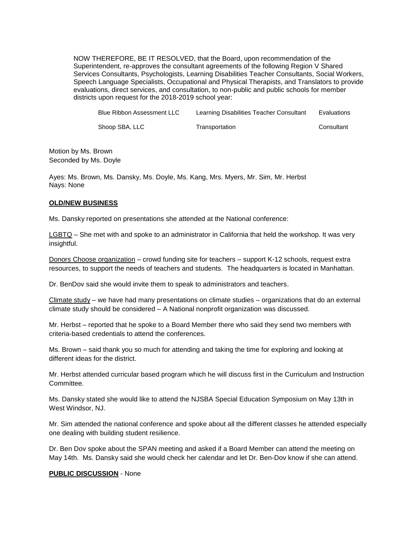NOW THEREFORE, BE IT RESOLVED, that the Board, upon recommendation of the Superintendent, re-approves the consultant agreements of the following Region V Shared Services Consultants, Psychologists, Learning Disabilities Teacher Consultants, Social Workers, Speech Language Specialists, Occupational and Physical Therapists, and Translators to provide evaluations, direct services, and consultation, to non-public and public schools for member districts upon request for the 2018-2019 school year:

| Blue Ribbon Assessment LLC | Learning Disabilities Teacher Consultant | Evaluations |
|----------------------------|------------------------------------------|-------------|
| Shoop SBA, LLC             | Transportation                           | Consultant  |

Motion by Ms. Brown Seconded by Ms. Doyle

Ayes: Ms. Brown, Ms. Dansky, Ms. Doyle, Ms. Kang, Mrs. Myers, Mr. Sim, Mr. Herbst Nays: None

## **OLD/NEW BUSINESS**

Ms. Dansky reported on presentations she attended at the National conference:

LGBTQ – She met with and spoke to an administrator in California that held the workshop. It was very insightful.

Donors Choose organization – crowd funding site for teachers – support K-12 schools, request extra resources, to support the needs of teachers and students. The headquarters is located in Manhattan.

Dr. BenDov said she would invite them to speak to administrators and teachers.

 $C$ limate study – we have had many presentations on climate studies – organizations that do an external climate study should be considered – A National nonprofit organization was discussed.

Mr. Herbst – reported that he spoke to a Board Member there who said they send two members with criteria-based credentials to attend the conferences.

Ms. Brown – said thank you so much for attending and taking the time for exploring and looking at different ideas for the district.

Mr. Herbst attended curricular based program which he will discuss first in the Curriculum and Instruction Committee.

Ms. Dansky stated she would like to attend the NJSBA Special Education Symposium on May 13th in West Windsor, NJ.

Mr. Sim attended the national conference and spoke about all the different classes he attended especially one dealing with building student resilience.

Dr. Ben Dov spoke about the SPAN meeting and asked if a Board Member can attend the meeting on May 14th. Ms. Dansky said she would check her calendar and let Dr. Ben-Dov know if she can attend.

#### **PUBLIC DISCUSSION** - None